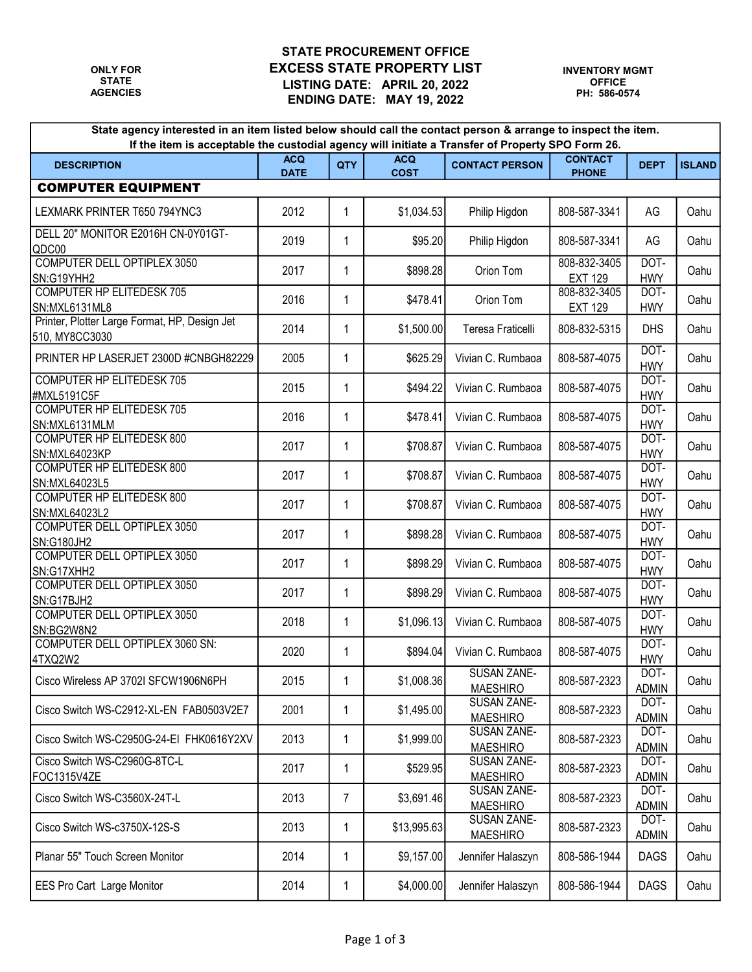## STATE PROCUREMENT OFFICE ONLY FOR **EXCESS STATE PROPERTY LIST** LISTING DATE: APRIL 20, 2022 STATE ENDING DATE: MAY 19, 2022 AGENCIES

| State agency interested in an item listed below should call the contact person & arrange to inspect the item.<br>If the item is acceptable the custodial agency will initiate a Transfer of Property SPO Form 26. |                           |     |                           |                                       |                                |                      |               |  |  |
|-------------------------------------------------------------------------------------------------------------------------------------------------------------------------------------------------------------------|---------------------------|-----|---------------------------|---------------------------------------|--------------------------------|----------------------|---------------|--|--|
| <b>DESCRIPTION</b>                                                                                                                                                                                                | <b>ACQ</b><br><b>DATE</b> | QTY | <b>ACQ</b><br><b>COST</b> | <b>CONTACT PERSON</b>                 | <b>CONTACT</b><br><b>PHONE</b> | <b>DEPT</b>          | <b>ISLAND</b> |  |  |
| <b>COMPUTER EQUIPMENT</b>                                                                                                                                                                                         |                           |     |                           |                                       |                                |                      |               |  |  |
| LEXMARK PRINTER T650 794YNC3                                                                                                                                                                                      | 2012                      | 1   | \$1,034.53                | Philip Higdon                         | 808-587-3341                   | AG                   | Oahu          |  |  |
| DELL 20" MONITOR E2016H CN-0Y01GT-<br>QDC00                                                                                                                                                                       | 2019                      | 1   | \$95.20                   | Philip Higdon                         | 808-587-3341                   | AG                   | Oahu          |  |  |
| COMPUTER DELL OPTIPLEX 3050<br>SN:G19YHH2                                                                                                                                                                         | 2017                      | 1   | \$898.28                  | Orion Tom                             | 808-832-3405<br><b>EXT 129</b> | DOT-<br><b>HWY</b>   | Oahu          |  |  |
| <b>COMPUTER HP ELITEDESK 705</b><br>SN:MXL6131ML8                                                                                                                                                                 | 2016                      | 1   | \$478.41                  | Orion Tom                             | 808-832-3405<br><b>EXT 129</b> | DOT-<br><b>HWY</b>   | Oahu          |  |  |
| Printer, Plotter Large Format, HP, Design Jet<br>510, MY8CC3030                                                                                                                                                   | 2014                      | 1   | \$1,500.00                | Teresa Fraticelli                     | 808-832-5315                   | <b>DHS</b>           | Oahu          |  |  |
| PRINTER HP LASERJET 2300D #CNBGH82229                                                                                                                                                                             | 2005                      | 1   | \$625.29                  | Vivian C. Rumbaoa                     | 808-587-4075                   | DOT-<br><b>HWY</b>   | Oahu          |  |  |
| <b>COMPUTER HP ELITEDESK 705</b><br>#MXL5191C5F                                                                                                                                                                   | 2015                      | 1   | \$494.22                  | Vivian C. Rumbaoa                     | 808-587-4075                   | DOT-<br><b>HWY</b>   | Oahu          |  |  |
| <b>COMPUTER HP ELITEDESK 705</b><br>SN:MXL6131MLM                                                                                                                                                                 | 2016                      | 1   | \$478.41                  | Vivian C. Rumbaoa                     | 808-587-4075                   | DOT-<br><b>HWY</b>   | Oahu          |  |  |
| COMPUTER HP ELITEDESK 800<br>SN:MXL64023KP                                                                                                                                                                        | 2017                      | 1   | \$708.87                  | Vivian C. Rumbaoa                     | 808-587-4075                   | DOT-<br><b>HWY</b>   | Oahu          |  |  |
| <b>COMPUTER HP ELITEDESK 800</b><br>SN:MXL64023L5                                                                                                                                                                 | 2017                      | 1   | \$708.87                  | Vivian C. Rumbaoa                     | 808-587-4075                   | DOT-<br><b>HWY</b>   | Oahu          |  |  |
| <b>COMPUTER HP ELITEDESK 800</b><br>SN:MXL64023L2                                                                                                                                                                 | 2017                      | 1   | \$708.87                  | Vivian C. Rumbaoa                     | 808-587-4075                   | DOT-<br><b>HWY</b>   | Oahu          |  |  |
| COMPUTER DELL OPTIPLEX 3050<br><b>SN:G180JH2</b>                                                                                                                                                                  | 2017                      | 1   | \$898.28                  | Vivian C. Rumbaoa                     | 808-587-4075                   | DOT-<br><b>HWY</b>   | Oahu          |  |  |
| <b>COMPUTER DELL OPTIPLEX 3050</b><br>SN:G17XHH2                                                                                                                                                                  | 2017                      | 1   | \$898.29                  | Vivian C. Rumbaoa                     | 808-587-4075                   | DOT-<br><b>HWY</b>   | Oahu          |  |  |
| <b>COMPUTER DELL OPTIPLEX 3050</b><br>SN:G17BJH2                                                                                                                                                                  | 2017                      | 1   | \$898.29                  | Vivian C. Rumbaoa                     | 808-587-4075                   | DOT-<br><b>HWY</b>   | Oahu          |  |  |
| COMPUTER DELL OPTIPLEX 3050<br>SN:BG2W8N2                                                                                                                                                                         | 2018                      | 1   | \$1,096.13                | Vivian C. Rumbaoa                     | 808-587-4075                   | DOT-<br><b>HWY</b>   | Oahu          |  |  |
| <b>COMPUTER DELL OPTIPLEX 3060 SN:</b><br>4TXQ2W2                                                                                                                                                                 | 2020                      | 1   | \$894.04                  | Vivian C. Rumbaoa                     | 808-587-4075                   | DOT-<br><b>HWY</b>   | Oahu          |  |  |
| Cisco Wireless AP 3702I SFCW1906N6PH                                                                                                                                                                              | 2015                      | 1   | \$1,008.36                | SUSAN ZANE-<br><b>MAESHIRO</b>        | 808-587-2323                   | DOT-<br><b>ADMIN</b> | Oahu          |  |  |
| Cisco Switch WS-C2912-XL-EN FAB0503V2E7                                                                                                                                                                           | 2001                      | 1   | \$1,495.00                | SUSAN ZANE-<br><b>MAESHIRO</b>        | 808-587-2323                   | DOT-<br><b>ADMIN</b> | Oahu          |  |  |
| Cisco Switch WS-C2950G-24-EI FHK0616Y2XV                                                                                                                                                                          | 2013                      | 1   | \$1,999.00                | <b>SUSAN ZANE-</b><br><b>MAESHIRO</b> | 808-587-2323                   | DOT-<br><b>ADMIN</b> | Oahu          |  |  |
| Cisco Switch WS-C2960G-8TC-L<br>FOC1315V4ZE                                                                                                                                                                       | 2017                      | 1   | \$529.95                  | SUSAN ZANE-<br><b>MAESHIRO</b>        | 808-587-2323                   | DOT-<br><b>ADMIN</b> | Oahu          |  |  |
| Cisco Switch WS-C3560X-24T-L                                                                                                                                                                                      | 2013                      | 7   | \$3,691.46                | <b>SUSAN ZANE-</b><br><b>MAESHIRO</b> | 808-587-2323                   | DOT-<br><b>ADMIN</b> | Oahu          |  |  |
| Cisco Switch WS-c3750X-12S-S                                                                                                                                                                                      | 2013                      | 1   | \$13,995.63               | <b>SUSAN ZANE-</b><br><b>MAESHIRO</b> | 808-587-2323                   | DOT-<br><b>ADMIN</b> | Oahu          |  |  |
| Planar 55" Touch Screen Monitor                                                                                                                                                                                   | 2014                      | 1   | \$9,157.00                | Jennifer Halaszyn                     | 808-586-1944                   | <b>DAGS</b>          | Oahu          |  |  |
| EES Pro Cart Large Monitor                                                                                                                                                                                        | 2014                      | 1   | \$4,000.00                | Jennifer Halaszyn                     | 808-586-1944                   | <b>DAGS</b>          | Oahu          |  |  |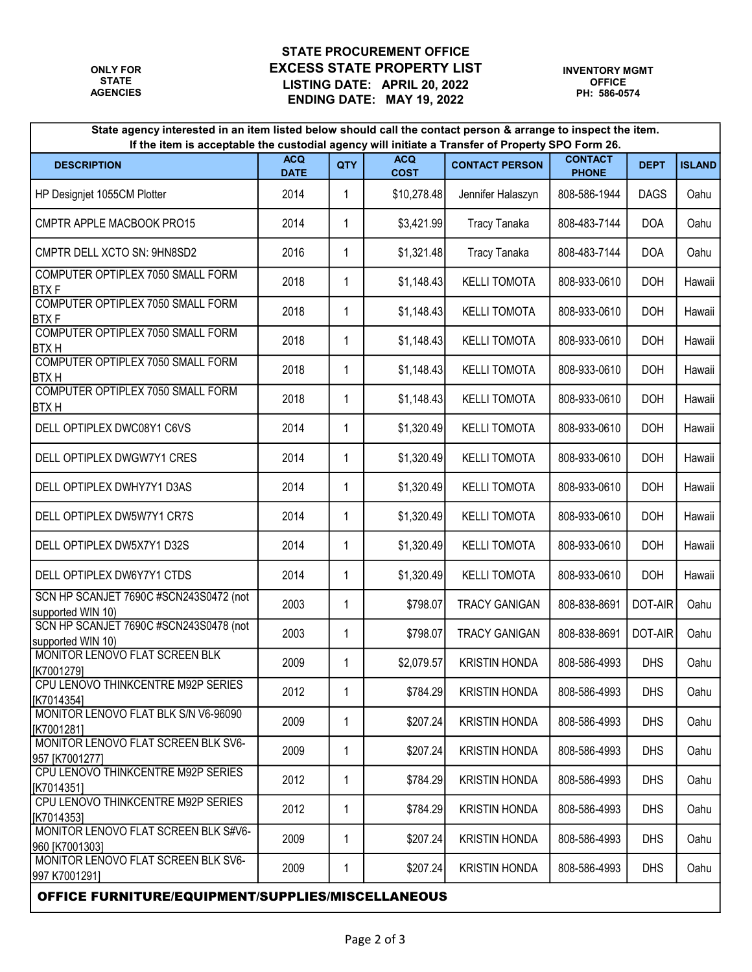## STATE PROCUREMENT OFFICE ONLY FOR **EXCESS STATE PROPERTY LIST** LISTING DATE: APRIL 20, 2022 STATE ENDING DATE: MAY 19, 2022 AGENCIES

| State agency interested in an item listed below should call the contact person & arrange to inspect the item.<br>If the item is acceptable the custodial agency will initiate a Transfer of Property SPO Form 26. |                           |             |                           |                       |                                |             |               |  |  |
|-------------------------------------------------------------------------------------------------------------------------------------------------------------------------------------------------------------------|---------------------------|-------------|---------------------------|-----------------------|--------------------------------|-------------|---------------|--|--|
| <b>DESCRIPTION</b>                                                                                                                                                                                                | <b>ACQ</b><br><b>DATE</b> | QTY         | <b>ACQ</b><br><b>COST</b> | <b>CONTACT PERSON</b> | <b>CONTACT</b><br><b>PHONE</b> | <b>DEPT</b> | <b>ISLAND</b> |  |  |
| HP Designjet 1055CM Plotter                                                                                                                                                                                       | 2014                      | 1           | \$10,278.48               | Jennifer Halaszyn     | 808-586-1944                   | <b>DAGS</b> | Oahu          |  |  |
| CMPTR APPLE MACBOOK PRO15                                                                                                                                                                                         | 2014                      | $\mathbf 1$ | \$3,421.99                | <b>Tracy Tanaka</b>   | 808-483-7144                   | <b>DOA</b>  | Oahu          |  |  |
| CMPTR DELL XCTO SN: 9HN8SD2                                                                                                                                                                                       | 2016                      | $\mathbf 1$ | \$1,321.48                | <b>Tracy Tanaka</b>   | 808-483-7144                   | <b>DOA</b>  | Oahu          |  |  |
| COMPUTER OPTIPLEX 7050 SMALL FORM<br><b>BTXF</b>                                                                                                                                                                  | 2018                      | 1           | \$1,148.43                | <b>KELLI TOMOTA</b>   | 808-933-0610                   | <b>DOH</b>  | Hawaii        |  |  |
| COMPUTER OPTIPLEX 7050 SMALL FORM<br><b>BTXF</b>                                                                                                                                                                  | 2018                      | 1           | \$1,148.43                | <b>KELLI TOMOTA</b>   | 808-933-0610                   | <b>DOH</b>  | Hawaii        |  |  |
| COMPUTER OPTIPLEX 7050 SMALL FORM<br><b>BTXH</b>                                                                                                                                                                  | 2018                      | 1           | \$1,148.43                | <b>KELLI TOMOTA</b>   | 808-933-0610                   | <b>DOH</b>  | Hawaii        |  |  |
| COMPUTER OPTIPLEX 7050 SMALL FORM<br><b>BTXH</b>                                                                                                                                                                  | 2018                      | 1           | \$1,148.43                | <b>KELLI TOMOTA</b>   | 808-933-0610                   | <b>DOH</b>  | Hawaii        |  |  |
| COMPUTER OPTIPLEX 7050 SMALL FORM<br><b>BTXH</b>                                                                                                                                                                  | 2018                      | 1           | \$1,148.43                | <b>KELLI TOMOTA</b>   | 808-933-0610                   | <b>DOH</b>  | Hawaii        |  |  |
| DELL OPTIPLEX DWC08Y1 C6VS                                                                                                                                                                                        | 2014                      | 1           | \$1,320.49                | <b>KELLI TOMOTA</b>   | 808-933-0610                   | <b>DOH</b>  | Hawaii        |  |  |
| DELL OPTIPLEX DWGW7Y1 CRES                                                                                                                                                                                        | 2014                      | $\mathbf 1$ | \$1,320.49                | <b>KELLI TOMOTA</b>   | 808-933-0610                   | <b>DOH</b>  | Hawaii        |  |  |
| DELL OPTIPLEX DWHY7Y1 D3AS                                                                                                                                                                                        | 2014                      | $\mathbf 1$ | \$1,320.49                | <b>KELLI TOMOTA</b>   | 808-933-0610                   | <b>DOH</b>  | Hawaii        |  |  |
| DELL OPTIPLEX DW5W7Y1 CR7S                                                                                                                                                                                        | 2014                      | $\mathbf 1$ | \$1,320.49                | <b>KELLI TOMOTA</b>   | 808-933-0610                   | <b>DOH</b>  | Hawaii        |  |  |
| DELL OPTIPLEX DW5X7Y1 D32S                                                                                                                                                                                        | 2014                      | $\mathbf 1$ | \$1,320.49                | <b>KELLI TOMOTA</b>   | 808-933-0610                   | <b>DOH</b>  | Hawaii        |  |  |
| DELL OPTIPLEX DW6Y7Y1 CTDS                                                                                                                                                                                        | 2014                      | 1           | \$1,320.49                | <b>KELLI TOMOTA</b>   | 808-933-0610                   | <b>DOH</b>  | Hawaii        |  |  |
| SCN HP SCANJET 7690C #SCN243S0472 (not<br>supported WIN 10)                                                                                                                                                       | 2003                      | 1           | \$798.07                  | <b>TRACY GANIGAN</b>  | 808-838-8691                   | DOT-AIR     | Oahu          |  |  |
| SCN HP SCANJET 7690C #SCN243S0478 (not<br>supported WIN 10)                                                                                                                                                       | 2003                      | 1           | \$798.07                  | <b>TRACY GANIGAN</b>  | 808-838-8691                   | DOT-AIR     | Oahu          |  |  |
| MONITOR LENOVO FLAT SCREEN BLK<br>[K7001279]                                                                                                                                                                      | 2009                      | 1           | \$2,079.57                | <b>KRISTIN HONDA</b>  | 808-586-4993                   | <b>DHS</b>  | Oahu          |  |  |
| CPU LENOVO THINKCENTRE M92P SERIES<br>[K7014354]                                                                                                                                                                  | 2012                      | 1           | \$784.29                  | <b>KRISTIN HONDA</b>  | 808-586-4993                   | <b>DHS</b>  | Oahu          |  |  |
| MONITOR LENOVO FLAT BLK S/N V6-96090<br>[K7001281]                                                                                                                                                                | 2009                      | 1           | \$207.24                  | <b>KRISTIN HONDA</b>  | 808-586-4993                   | <b>DHS</b>  | Oahu          |  |  |
| MONITOR LENOVO FLAT SCREEN BLK SV6-<br>957 [K7001277]                                                                                                                                                             | 2009                      | 1           | \$207.24                  | <b>KRISTIN HONDA</b>  | 808-586-4993                   | <b>DHS</b>  | Oahu          |  |  |
| CPU LENOVO THINKCENTRE M92P SERIES<br>[K7014351]                                                                                                                                                                  | 2012                      | 1           | \$784.29                  | <b>KRISTIN HONDA</b>  | 808-586-4993                   | <b>DHS</b>  | Oahu          |  |  |
| CPU LENOVO THINKCENTRE M92P SERIES<br>[K7014353]                                                                                                                                                                  | 2012                      | 1           | \$784.29                  | <b>KRISTIN HONDA</b>  | 808-586-4993                   | <b>DHS</b>  | Oahu          |  |  |
| MONITOR LENOVO FLAT SCREEN BLK S#V6-<br>960 [K7001303]                                                                                                                                                            | 2009                      | 1           | \$207.24                  | <b>KRISTIN HONDA</b>  | 808-586-4993                   | <b>DHS</b>  | Oahu          |  |  |
| MONITOR LENOVO FLAT SCREEN BLK SV6-<br>997 K7001291]                                                                                                                                                              | 2009                      | 1           | \$207.24                  | <b>KRISTIN HONDA</b>  | 808-586-4993                   | <b>DHS</b>  | Oahu          |  |  |
| <b>OFFICE FURNITURE/EQUIPMENT/SUPPLIES/MISCELLANEOUS</b>                                                                                                                                                          |                           |             |                           |                       |                                |             |               |  |  |